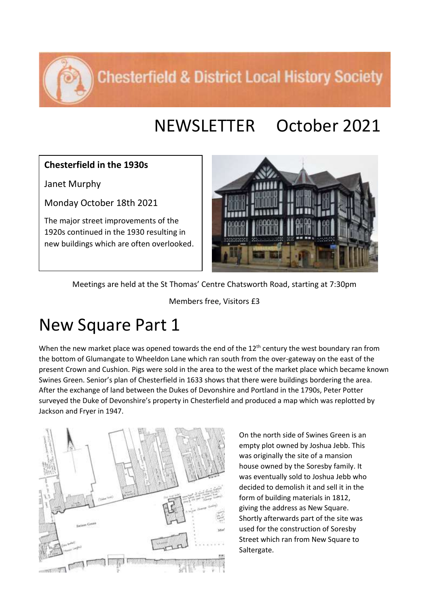**Chesterfield & District Local History Society** 

## NEWSLETTER October 2021

## **Chesterfield in the 1930s**

Janet Murphy

Monday October 18th 2021

The major street improvements of the 1920s continued in the 1930 resulting in new buildings which are often overlooked.



Meetings are held at the St Thomas' Centre Chatsworth Road, starting at 7:30pm

Members free, Visitors £3

## New Square Part 1

When the new market place was opened towards the end of the 12<sup>th</sup> century the west boundary ran from the bottom of Glumangate to Wheeldon Lane which ran south from the over-gateway on the east of the present Crown and Cushion. Pigs were sold in the area to the west of the market place which became known Swines Green. Senior's plan of Chesterfield in 1633 shows that there were buildings bordering the area. After the exchange of land between the Dukes of Devonshire and Portland in the 1790s, Peter Potter surveyed the Duke of Devonshire's property in Chesterfield and produced a map which was replotted by Jackson and Fryer in 1947.



On the north side of Swines Green is an empty plot owned by Joshua Jebb. This was originally the site of a mansion house owned by the Soresby family. It was eventually sold to Joshua Jebb who decided to demolish it and sell it in the form of building materials in 1812, giving the address as New Square. Shortly afterwards part of the site was used for the construction of Soresby Street which ran from New Square to Saltergate.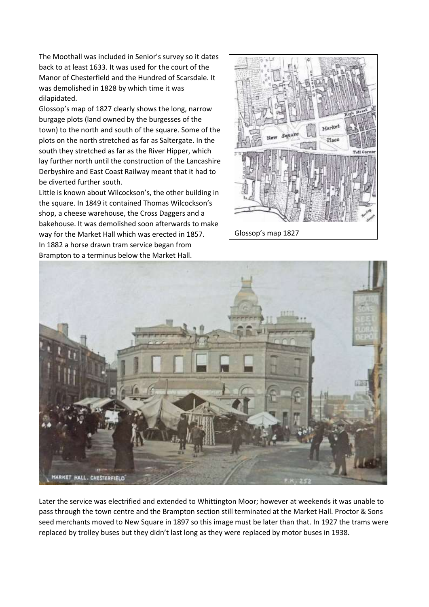The Moothall was included in Senior's survey so it dates back to at least 1633. It was used for the court of the Manor of Chesterfield and the Hundred of Scarsdale. It was demolished in 1828 by which time it was dilapidated.

Glossop's map of 1827 clearly shows the long, narrow burgage plots (land owned by the burgesses of the town) to the north and south of the square. Some of the plots on the north stretched as far as Saltergate. In the south they stretched as far as the River Hipper, which lay further north until the construction of the Lancashire Derbyshire and East Coast Railway meant that it had to be diverted further south.

Little is known about Wilcockson's, the other building in the square. In 1849 it contained Thomas Wilcockson's shop, a cheese warehouse, the Cross Daggers and a bakehouse. It was demolished soon afterwards to make way for the Market Hall which was erected in 1857. In 1882 a horse drawn tram service began from Brampton to a terminus below the Market Hall.





Later the service was electrified and extended to Whittington Moor; however at weekends it was unable to pass through the town centre and the Brampton section still terminated at the Market Hall. Proctor & Sons seed merchants moved to New Square in 1897 so this image must be later than that. In 1927 the trams were replaced by trolley buses but they didn't last long as they were replaced by motor buses in 1938.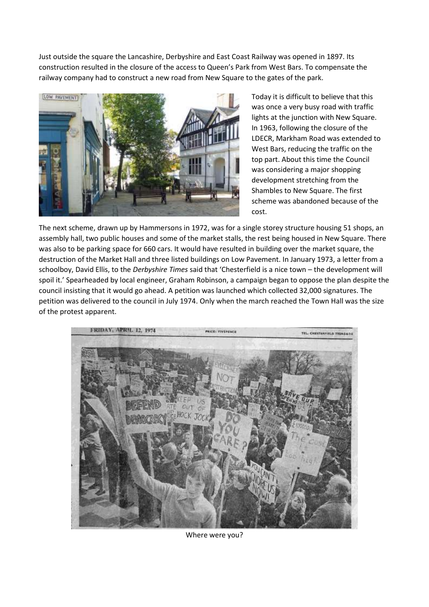Just outside the square the Lancashire, Derbyshire and East Coast Railway was opened in 1897. Its construction resulted in the closure of the access to Queen's Park from West Bars. To compensate the railway company had to construct a new road from New Square to the gates of the park.



Today it is difficult to believe that this was once a very busy road with traffic lights at the junction with New Square. In 1963, following the closure of the LDECR, Markham Road was extended to West Bars, reducing the traffic on the top part. About this time the Council was considering a major shopping development stretching from the Shambles to New Square. The first scheme was abandoned because of the cost.

The next scheme, drawn up by Hammersons in 1972, was for a single storey structure housing 51 shops, an assembly hall, two public houses and some of the market stalls, the rest being housed in New Square. There was also to be parking space for 660 cars. It would have resulted in building over the market square, the destruction of the Market Hall and three listed buildings on Low Pavement. In January 1973, a letter from a schoolboy, David Ellis, to the *Derbyshire Times* said that 'Chesterfield is a nice town – the development will spoil it.' Spearheaded by local engineer, Graham Robinson, a campaign began to oppose the plan despite the council insisting that it would go ahead. A petition was launched which collected 32,000 signatures. The petition was delivered to the council in July 1974. Only when the march reached the Town Hall was the size of the protest apparent.



Where were you?